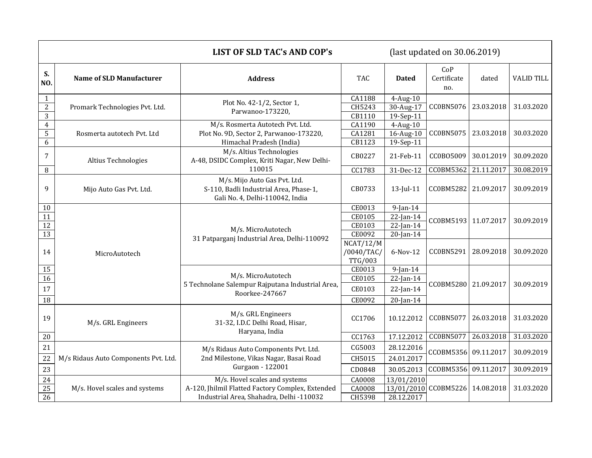|                                                  |                                      | <b>LIST OF SLD TAC's AND COP's</b><br>(last updated on $30.06.2019$ )                                     |                                           |                                                                           |                           |            |                   |
|--------------------------------------------------|--------------------------------------|-----------------------------------------------------------------------------------------------------------|-------------------------------------------|---------------------------------------------------------------------------|---------------------------|------------|-------------------|
| S.<br>NO.                                        | <b>Name of SLD Manufacturer</b>      | <b>Address</b>                                                                                            | <b>TAC</b>                                | <b>Dated</b>                                                              | CoP<br>Certificate<br>no. | dated      | <b>VALID TILL</b> |
| $\mathbf{1}$<br>$\overline{c}$<br>$\overline{3}$ | Promark Technologies Pvt. Ltd.       | Plot No. 42-1/2, Sector 1,<br>Parwanoo-173220,                                                            | CA1188<br>CH5243<br>CB1110                | $4$ -Aug-10<br>30-Aug-17<br>19-Sep-11                                     | CC0BN5076                 | 23.03.2018 | 31.03.2020        |
| $\overline{4}$<br>5<br>6                         | Rosmerta autotech Pvt. Ltd           | M/s. Rosmerta Autotech Pvt. Ltd.<br>Plot No. 9D, Sector 2, Parwanoo-173220,<br>Himachal Pradesh (India)   | CA1190<br>CA1281<br>CB1123                | $4$ -Aug- $10$<br>16-Aug-10<br>19-Sep-11                                  | CC0BN5075                 | 23.03.2018 | 30.03.2020        |
| $\overline{7}$                                   | Altius Technologies                  | M/s. Altius Technologies<br>A-48, DSIDC Complex, Kriti Nagar, New Delhi-<br>110015                        | CB0227                                    | 21-Feb-11                                                                 | CC0B05009                 | 30.01.2019 | 30.09.2020        |
| 8                                                |                                      |                                                                                                           | CC1783                                    | 31-Dec-12                                                                 | <b>CC0BM5362</b>          | 21.11.2017 | 30.08.2019        |
| 9                                                | Mijo Auto Gas Pvt. Ltd.              | M/s. Mijo Auto Gas Pvt. Ltd.<br>S-110, Badli Industrial Area, Phase-1,<br>Gali No. 4, Delhi-110042, India | CB0733                                    | $13$ -Jul-11                                                              | CC0BM5282                 | 21.09.2017 | 30.09.2019        |
| 10<br>11<br>$\overline{12}$<br>$\overline{13}$   | MicroAutotech                        | M/s. MicroAutotech<br>31 Patparganj Industrial Area, Delhi-110092                                         | CE0013<br>CE0105<br>CE0103<br>CE0092      | $\overline{9}$ -Jan-14<br>$22$ -Jan-14<br>$22$ -Jan-14<br>$20$ -Jan- $14$ | CC0BM5193                 | 11.07.2017 | 30.09.2019        |
| 14                                               |                                      |                                                                                                           | NCAT/12/M<br>/0040/TAC/<br><b>TTG/003</b> | 6-Nov-12                                                                  | CC0BN5291                 | 28.09.2018 | 30.09.2020        |
| 15                                               |                                      | M/s. MicroAutotech<br>5 Technolane Salempur Rajputana Industrial Area,<br>Roorkee-247667                  | CE0013                                    | $9$ -Jan-14                                                               | CC0BM5280                 | 21.09.2017 | 30.09.2019        |
| 16                                               |                                      |                                                                                                           | CE0105                                    | $22$ -Jan-14                                                              |                           |            |                   |
| 17                                               |                                      |                                                                                                           | CE0103                                    | $22$ -Jan-14                                                              |                           |            |                   |
| 18                                               |                                      |                                                                                                           | CE0092                                    | $20$ -Jan- $14$                                                           |                           |            |                   |
| 19                                               | M/s. GRL Engineers                   | M/s. GRL Engineers<br>31-32, I.D.C Delhi Road, Hisar,<br>Haryana, India                                   | CC1706                                    | 10.12.2012                                                                | CC0BN5077                 | 26.03.2018 | 31.03.2020        |
| $20\,$                                           |                                      |                                                                                                           | CC1763                                    | 17.12.2012                                                                | CC0BN5077                 | 26.03.2018 | 31.03.2020        |
| 21                                               |                                      | M/s Ridaus Auto Components Pvt. Ltd.                                                                      | CG5003                                    | 28.12.2016                                                                |                           |            | 30.09.2019        |
| 22                                               | M/s Ridaus Auto Components Pvt. Ltd. | 2nd Milestone, Vikas Nagar, Basai Road                                                                    | CH5015                                    | 24.01.2017                                                                | CCOBM5356                 | 09.11.2017 |                   |
| 23                                               |                                      | Gurgaon - 122001                                                                                          | CD0848                                    | 30.05.2013                                                                | CCOBM5356                 | 09.11.2017 | 30.09.2019        |
| $24\,$                                           | M/s. Hovel scales and systems        | M/s. Hovel scales and systems                                                                             | CA0008                                    | 13/01/2010                                                                |                           |            | 31.03.2020        |
| 25                                               |                                      | A-120, Jhilmil Flatted Factory Complex, Extended                                                          | CA0008                                    |                                                                           | 13/01/2010 CC0BM5226      | 14.08.2018 |                   |
| 26                                               |                                      | Industrial Area, Shahadra, Delhi -110032                                                                  | CH5398                                    | 28.12.2017                                                                |                           |            |                   |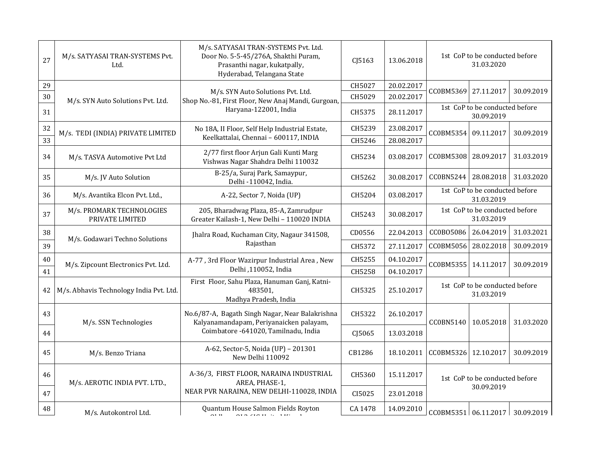| 27 | M/s. SATYASAI TRAN-SYSTEMS Pvt.<br>Ltd.      | M/s. SATYASAI TRAN-SYSTEMS Pvt. Ltd.<br>Door No. 5-5-45/276A, Shakthi Puram,<br>Prasanthi nagar, kukatpally,<br>Hyderabad, Telangana State | CJ5163  | 13.06.2018 | 1st CoP to be conducted before<br>31.03.2020 |                                              |            |
|----|----------------------------------------------|--------------------------------------------------------------------------------------------------------------------------------------------|---------|------------|----------------------------------------------|----------------------------------------------|------------|
| 29 | M/s. SYN Auto Solutions Pvt. Ltd.            | M/s. SYN Auto Solutions Pvt. Ltd.<br>Shop No.-81, First Floor, New Anaj Mandi, Gurgoan,                                                    | CH5027  | 20.02.2017 | CC0BM5369 27.11.2017                         |                                              | 30.09.2019 |
| 30 |                                              |                                                                                                                                            | CH5029  | 20.02.2017 |                                              |                                              |            |
| 31 |                                              | Haryana-122001, India                                                                                                                      | CH5375  | 28.11.2017 |                                              | 1st CoP to be conducted before<br>30.09.2019 |            |
| 32 | M/s. TEDI (INDIA) PRIVATE LIMITED            | No 18A, II Floor, Self Help Industrial Estate,<br>Keelkattalai, Chennai - 600117, INDIA                                                    | CH5239  | 23.08.2017 | CC0BM5354                                    | 09.11.2017                                   | 30.09.2019 |
| 33 |                                              |                                                                                                                                            | CH5246  | 28.08.2017 |                                              |                                              |            |
| 34 | M/s. TASVA Automotive Pvt Ltd                | 2/77 first floor Arjun Gali Kunti Marg<br>Vishwas Nagar Shahdra Delhi 110032                                                               | CH5234  | 03.08.2017 | CC0BM5308                                    | 28.09.2017                                   | 31.03.2019 |
| 35 | M/s. JV Auto Solution                        | B-25/a, Suraj Park, Samaypur,<br>Delhi -110042, India.                                                                                     | CH5262  | 30.08.2017 | CC0BN5244                                    | 28.08.2018                                   | 31.03.2020 |
| 36 | M/s. Avantika Elcon Pvt. Ltd.,               | A-22, Sector 7, Noida (UP)                                                                                                                 | CH5204  | 03.08.2017 | 1st CoP to be conducted before<br>31.03.2019 |                                              |            |
| 37 | M/s. PROMARK TECHNOLOGIES<br>PRIVATE LIMITED | 205, Bharadwag Plaza, 85-A, Zamrudpur<br>Greater Kailash-1, New Delhi - 110020 INDIA                                                       | CH5243  | 30.08.2017 | 1st CoP to be conducted before<br>31.03.2019 |                                              |            |
| 38 |                                              | Jhalra Road, Kuchaman City, Nagaur 341508,                                                                                                 | CD0556  | 22.04.2013 | CC0B05086                                    | 26.04.2019                                   | 31.03.2021 |
| 39 | M/s. Godawari Techno Solutions               | Rajasthan                                                                                                                                  | CH5372  | 27.11.2017 | CC0BM5056                                    | 28.02.2018                                   | 30.09.2019 |
| 40 | M/s. Zipcount Electronics Pvt. Ltd.          | A-77, 3rd Floor Wazirpur Industrial Area, New<br>Delhi ,110052, India                                                                      | CH5255  | 04.10.2017 |                                              | CC0BM5355 14.11.2017                         | 30.09.2019 |
| 41 |                                              |                                                                                                                                            | CH5258  | 04.10.2017 |                                              |                                              |            |
| 42 | M/s. Abhavis Technology India Pvt. Ltd.      | First Floor, Sahu Plaza, Hanuman Ganj, Katni-<br>483501,<br>Madhya Pradesh, India                                                          | CH5325  | 25.10.2017 | 1st CoP to be conducted before<br>31.03.2019 |                                              |            |
| 43 | M/s. SSN Technologies                        | No.6/87-A, Bagath Singh Nagar, Near Balakrishna<br>Kalyanamandapam, Periyanaicken palayam,                                                 | CH5322  | 26.10.2017 | CC0BN5140                                    | 10.05.2018                                   | 31.03.2020 |
| 44 |                                              | Coimbatore -641020, Tamilnadu, India                                                                                                       | CJ5065  | 13.03.2018 |                                              |                                              |            |
| 45 | M/s. Benzo Triana                            | A-62, Sector-5, Noida (UP) - 201301<br>New Delhi 110092                                                                                    | CB1286  | 18.10.2011 | CC0BM5326                                    | 12.10.2017                                   | 30.09.2019 |
| 46 | M/s. AEROTIC INDIA PVT. LTD.,                | A-36/3, FIRST FLOOR, NARAINA INDUSTRIAL<br>AREA, PHASE-1,                                                                                  | CH5360  | 15.11.2017 |                                              | 1st CoP to be conducted before               |            |
| 47 |                                              | NEAR PVR NARAINA, NEW DELHI-110028, INDIA                                                                                                  | CI5025  | 23.01.2018 |                                              | 30.09.2019                                   |            |
| 48 | M/s. Autokontrol Ltd.                        | Quantum House Salmon Fields Royton<br>$ATA ZTATU$ $\sim 110$<br>011                                                                        | CA 1478 | 14.09.2010 | CC0BM5351 06.11.2017 30.09.2019              |                                              |            |